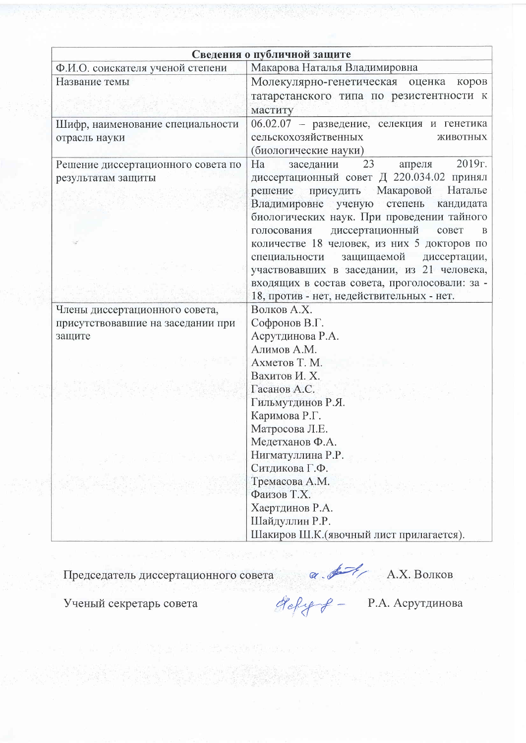| Ф.И.О. соискателя ученой степени                                                                                                                                   | Сведения о публичной защите<br>Макарова Наталья Владимировна                                                                                                                                                                                                                                                                                                                                      |  |  |  |
|--------------------------------------------------------------------------------------------------------------------------------------------------------------------|---------------------------------------------------------------------------------------------------------------------------------------------------------------------------------------------------------------------------------------------------------------------------------------------------------------------------------------------------------------------------------------------------|--|--|--|
| Название темы                                                                                                                                                      | Молекулярно-генетическая оценка коров<br>татарстанского типа по резистентности к                                                                                                                                                                                                                                                                                                                  |  |  |  |
| маститу                                                                                                                                                            |                                                                                                                                                                                                                                                                                                                                                                                                   |  |  |  |
| Шифр, наименование специальности<br>сельскохозяйственных<br>отрасль науки<br>(биологические науки)                                                                 | 06.02.07 - разведение, селекция и генетика<br>ЖИВОТНЫХ                                                                                                                                                                                                                                                                                                                                            |  |  |  |
| Ha<br>Решение диссертационного совета по<br>заседании<br>результатам защиты<br>решение<br>голосования диссертационный<br>18, против - нет, недействительных - нет. | 2019г.<br>23<br>апреля<br>диссертационный совет Д 220.034.02 принял<br>присудить Макаровой<br>Наталье<br>Владимировне ученую степень кандидата<br>биологических наук. При проведении тайного<br>совет<br>B<br>количестве 18 человек, из них 5 докторов по<br>специальности защищаемой диссертации,<br>участвовавших в заседании, из 21 человека,<br>входящих в состав совета, проголосовали: за - |  |  |  |
| Волков А.Х.<br>Члены диссертационного совета,                                                                                                                      |                                                                                                                                                                                                                                                                                                                                                                                                   |  |  |  |
| Софронов В.Г.<br>присутствовавшие на заседании при                                                                                                                 |                                                                                                                                                                                                                                                                                                                                                                                                   |  |  |  |
| Асрутдинова Р.А.<br>защите                                                                                                                                         |                                                                                                                                                                                                                                                                                                                                                                                                   |  |  |  |
|                                                                                                                                                                    | Алимов А.М.<br>Ахметов Т. М.                                                                                                                                                                                                                                                                                                                                                                      |  |  |  |
|                                                                                                                                                                    |                                                                                                                                                                                                                                                                                                                                                                                                   |  |  |  |
|                                                                                                                                                                    | Вахитов И. Х.                                                                                                                                                                                                                                                                                                                                                                                     |  |  |  |
| Гасанов А.С.                                                                                                                                                       |                                                                                                                                                                                                                                                                                                                                                                                                   |  |  |  |
| Гильмутдинов Р.Я.                                                                                                                                                  |                                                                                                                                                                                                                                                                                                                                                                                                   |  |  |  |
|                                                                                                                                                                    | Каримова Р.Г.                                                                                                                                                                                                                                                                                                                                                                                     |  |  |  |
|                                                                                                                                                                    | Матросова Л.Е.<br>Медетханов Ф.А.                                                                                                                                                                                                                                                                                                                                                                 |  |  |  |
|                                                                                                                                                                    |                                                                                                                                                                                                                                                                                                                                                                                                   |  |  |  |
| Нигматуллина Р.Р.                                                                                                                                                  |                                                                                                                                                                                                                                                                                                                                                                                                   |  |  |  |
| Ситдикова Г.Ф.                                                                                                                                                     |                                                                                                                                                                                                                                                                                                                                                                                                   |  |  |  |
| Тремасова А.М.<br>Фаизов Т.Х.                                                                                                                                      |                                                                                                                                                                                                                                                                                                                                                                                                   |  |  |  |
|                                                                                                                                                                    | Хаертдинов Р.А.<br>Шайдуллин Р.Р.                                                                                                                                                                                                                                                                                                                                                                 |  |  |  |
|                                                                                                                                                                    |                                                                                                                                                                                                                                                                                                                                                                                                   |  |  |  |
|                                                                                                                                                                    | Шакиров Ш.К. (явочный лист прилагается).                                                                                                                                                                                                                                                                                                                                                          |  |  |  |

Председатель диссертационного совета  $\alpha$   $\overline{\alpha}$  А.Х. Волков<br>Ученый секретарь совета  $\alpha$   $\alpha$   $\alpha$   $\alpha$  А.Х. Волков